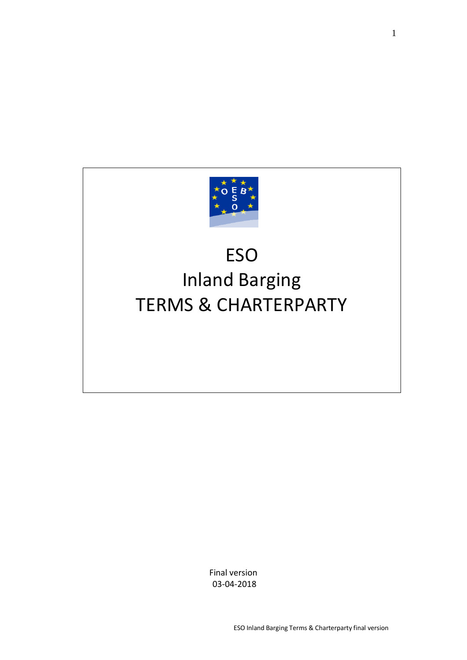

# ESO Inland Barging TERMS & CHARTERPARTY

Final version 03-04-2018

ESO Inland Barging Terms & Charterparty final version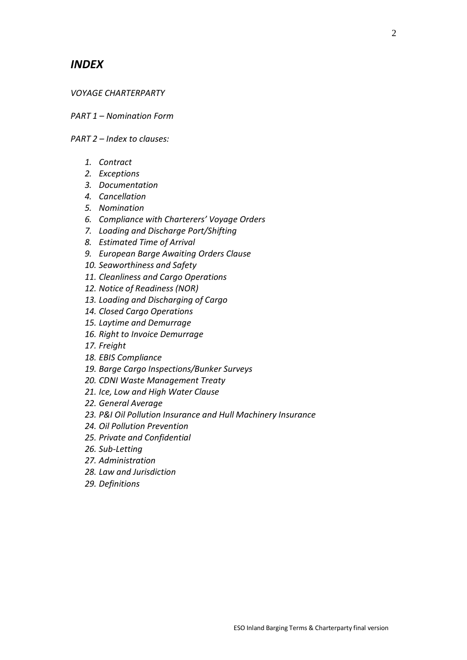## *INDEX*

#### *VOYAGE CHARTERPARTY*

*PART 1 – Nomination Form*

*PART 2 – Index to clauses:*

- *1. Contract*
- *2. Exceptions*
- *3. Documentation*
- *4. Cancellation*
- *5. Nomination*
- *6. Compliance with Charterers' Voyage Orders*
- *7. Loading and Discharge Port/Shifting*
- *8. Estimated Time of Arrival*
- *9. European Barge Awaiting Orders Clause*
- *10. Seaworthiness and Safety*
- *11. Cleanliness and Cargo Operations*
- *12. Notice of Readiness (NOR)*
- *13. Loading and Discharging of Cargo*
- *14. Closed Cargo Operations*
- *15. Laytime and Demurrage*
- *16. Right to Invoice Demurrage*
- *17. Freight*
- *18. EBIS Compliance*
- *19. Barge Cargo Inspections/Bunker Surveys*
- *20. CDNI Waste Management Treaty*
- *21. Ice, Low and High Water Clause*
- *22. General Average*
- *23. P&I Oil Pollution Insurance and Hull Machinery Insurance*
- *24. Oil Pollution Prevention*
- *25. Private and Confidential*
- *26. Sub-Letting*
- *27. Administration*
- *28. Law and Jurisdiction*
- *29. Definitions*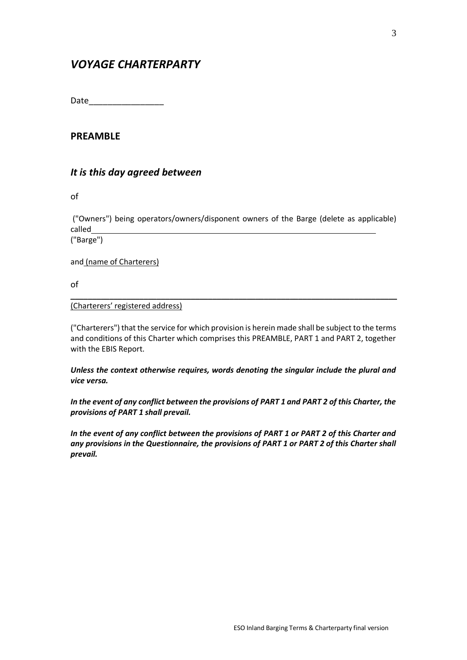# *VOYAGE CHARTERPARTY*

Date\_\_\_\_\_\_\_\_\_\_\_\_\_\_\_\_

## **PREAMBLE**

## *It is this day agreed between*

of

("Owners") being operators/owners/disponent owners of the Barge (delete as applicable) called

("Barge")

and (name of Charterers)

of

#### (Charterers' registered address)

("Charterers") that the service for which provision is herein made shall be subject to the terms and conditions of this Charter which comprises this PREAMBLE, PART 1 and PART 2, together with the EBIS Report.

\_\_\_\_\_\_\_\_\_\_\_\_\_\_\_\_\_\_\_\_\_\_\_\_\_\_\_\_\_\_\_\_\_\_\_\_\_\_\_\_\_\_\_\_\_\_\_\_\_\_\_\_\_\_\_\_\_\_\_\_\_\_\_\_\_\_\_\_\_\_\_\_\_\_\_\_

*Unless the context otherwise requires, words denoting the singular include the plural and vice versa.*

*In the event of any conflict between the provisions of PART 1 and PART 2 of this Charter, the provisions of PART 1 shall prevail.*

*In the event of any conflict between the provisions of PART 1 or PART 2 of this Charter and any provisions in the Questionnaire, the provisions of PART 1 or PART 2 of this Charter shall prevail.*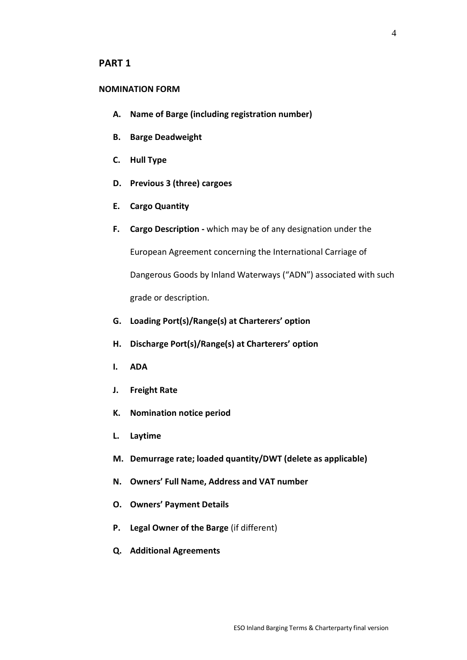#### **PART 1**

#### **NOMINATION FORM**

- **A. Name of Barge (including registration number)**
- **B. Barge Deadweight**
- **C. Hull Type**
- **D. Previous 3 (three) cargoes**
- **E. Cargo Quantity**
- **F. Cargo Description -** which may be of any designation under the

European Agreement concerning the International Carriage of

Dangerous Goods by Inland Waterways ("ADN") associated with such grade or description.

- **G. Loading Port(s)/Range(s) at Charterers' option**
- **H. Discharge Port(s)/Range(s) at Charterers' option**
- **I. ADA**
- **J. Freight Rate**
- **K. Nomination notice period**
- **L. Laytime**
- **M. Demurrage rate; loaded quantity/DWT (delete as applicable)**
- **N. Owners' Full Name, Address and VAT number**
- **O. Owners' Payment Details**
- **P. Legal Owner of the Barge** (if different)
- **Q. Additional Agreements**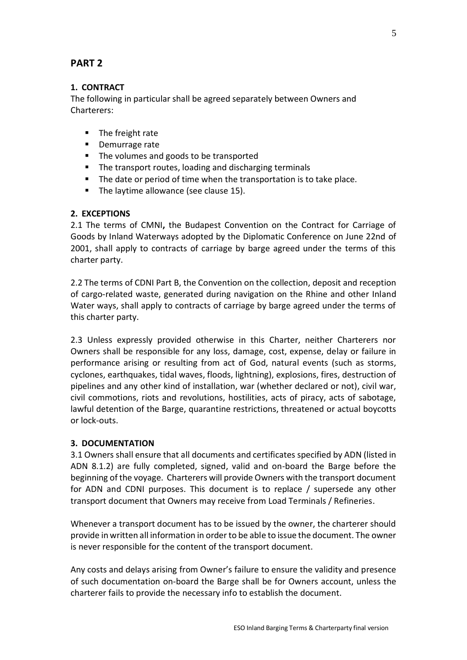## **PART 2**

## **1. CONTRACT**

The following in particular shall be agreed separately between Owners and Charterers:

- The freight rate
- Demurrage rate
- The volumes and goods to be transported
- The transport routes, loading and discharging terminals
- The date or period of time when the transportation is to take place.
- The laytime allowance (see clause 15).

#### **2. EXCEPTIONS**

2.1 The terms of CMNI**,** the Budapest Convention on the Contract for Carriage of Goods by Inland Waterways adopted by the Diplomatic Conference on June 22nd of 2001, shall apply to contracts of carriage by barge agreed under the terms of this charter party.

2.2 The terms of CDNI Part B, the Convention on the collection, deposit and reception of cargo-related waste, generated during navigation on the Rhine and other Inland Water ways, shall apply to contracts of carriage by barge agreed under the terms of this charter party.

2.3 Unless expressly provided otherwise in this Charter, neither Charterers nor Owners shall be responsible for any loss, damage, cost, expense, delay or failure in performance arising or resulting from act of God, natural events (such as storms, cyclones, earthquakes, tidal waves, floods, lightning), explosions, fires, destruction of pipelines and any other kind of installation, war (whether declared or not), civil war, civil commotions, riots and revolutions, hostilities, acts of piracy, acts of sabotage, lawful detention of the Barge, quarantine restrictions, threatened or actual boycotts or lock-outs.

#### **3. DOCUMENTATION**

3.1 Owners shall ensure that all documents and certificates specified by ADN (listed in ADN 8.1.2) are fully completed, signed, valid and on-board the Barge before the beginning of the voyage. Charterers will provide Owners with the transport document for ADN and CDNI purposes. This document is to replace / supersede any other transport document that Owners may receive from Load Terminals / Refineries.

Whenever a transport document has to be issued by the owner, the charterer should provide in written all information in order to be able to issue the document. The owner is never responsible for the content of the transport document.

Any costs and delays arising from Owner's failure to ensure the validity and presence of such documentation on-board the Barge shall be for Owners account, unless the charterer fails to provide the necessary info to establish the document.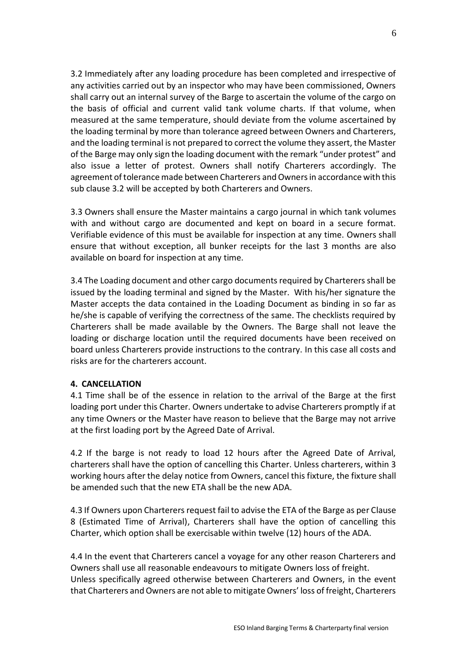3.2 Immediately after any loading procedure has been completed and irrespective of any activities carried out by an inspector who may have been commissioned, Owners shall carry out an internal survey of the Barge to ascertain the volume of the cargo on the basis of official and current valid tank volume charts. If that volume, when measured at the same temperature, should deviate from the volume ascertained by the loading terminal by more than tolerance agreed between Owners and Charterers, and the loading terminal is not prepared to correct the volume they assert, the Master of the Barge may only sign the loading document with the remark "under protest" and also issue a letter of protest. Owners shall notify Charterers accordingly. The agreement of tolerance made between Charterers and Owners in accordance with this sub clause 3.2 will be accepted by both Charterers and Owners.

3.3 Owners shall ensure the Master maintains a cargo journal in which tank volumes with and without cargo are documented and kept on board in a secure format. Verifiable evidence of this must be available for inspection at any time. Owners shall ensure that without exception, all bunker receipts for the last 3 months are also available on board for inspection at any time.

3.4 The Loading document and other cargo documents required by Charterers shall be issued by the loading terminal and signed by the Master. With his/her signature the Master accepts the data contained in the Loading Document as binding in so far as he/she is capable of verifying the correctness of the same. The checklists required by Charterers shall be made available by the Owners. The Barge shall not leave the loading or discharge location until the required documents have been received on board unless Charterers provide instructions to the contrary. In this case all costs and risks are for the charterers account.

#### **4. CANCELLATION**

4.1 Time shall be of the essence in relation to the arrival of the Barge at the first loading port under this Charter. Owners undertake to advise Charterers promptly if at any time Owners or the Master have reason to believe that the Barge may not arrive at the first loading port by the Agreed Date of Arrival.

4.2 If the barge is not ready to load 12 hours after the Agreed Date of Arrival, charterers shall have the option of cancelling this Charter. Unless charterers, within 3 working hours after the delay notice from Owners, cancel this fixture, the fixture shall be amended such that the new ETA shall be the new ADA.

4.3 If Owners upon Charterers request fail to advise the ETA of the Barge as per Clause 8 (Estimated Time of Arrival), Charterers shall have the option of cancelling this Charter, which option shall be exercisable within twelve (12) hours of the ADA.

4.4 In the event that Charterers cancel a voyage for any other reason Charterers and Owners shall use all reasonable endeavours to mitigate Owners loss of freight. Unless specifically agreed otherwise between Charterers and Owners, in the event that Charterers and Owners are not able to mitigate Owners' loss of freight, Charterers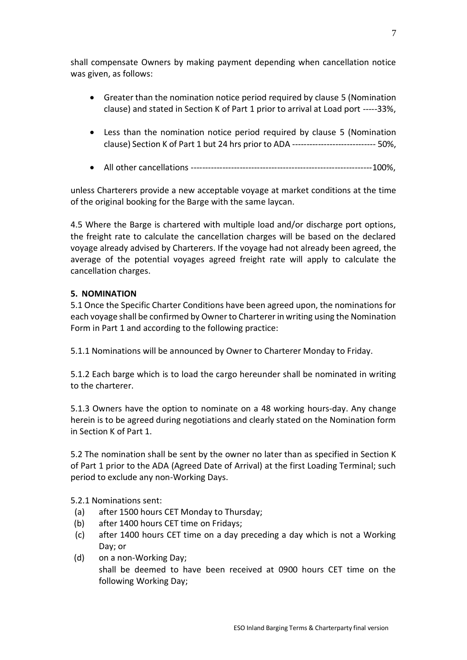shall compensate Owners by making payment depending when cancellation notice was given, as follows:

- Greater than the nomination notice period required by clause 5 (Nomination clause) and stated in Section K of Part 1 prior to arrival at Load port -----33%,
- Less than the nomination notice period required by clause 5 (Nomination clause) Section K of Part 1 but 24 hrs prior to ADA ----------------------------- 50%,
- All other cancellations ---------------------------------------------------------------100%,

unless Charterers provide a new acceptable voyage at market conditions at the time of the original booking for the Barge with the same laycan.

4.5 Where the Barge is chartered with multiple load and/or discharge port options, the freight rate to calculate the cancellation charges will be based on the declared voyage already advised by Charterers. If the voyage had not already been agreed, the average of the potential voyages agreed freight rate will apply to calculate the cancellation charges.

#### **5. NOMINATION**

5.1 Once the Specific Charter Conditions have been agreed upon, the nominations for each voyage shall be confirmed by Owner to Charterer in writing using the Nomination Form in Part 1 and according to the following practice:

5.1.1 Nominations will be announced by Owner to Charterer Monday to Friday.

5.1.2 Each barge which is to load the cargo hereunder shall be nominated in writing to the charterer.

5.1.3 Owners have the option to nominate on a 48 working hours-day. Any change herein is to be agreed during negotiations and clearly stated on the Nomination form in Section K of Part 1.

5.2 The nomination shall be sent by the owner no later than as specified in Section K of Part 1 prior to the ADA (Agreed Date of Arrival) at the first Loading Terminal; such period to exclude any non-Working Days.

5.2.1 Nominations sent:

- (a) after 1500 hours CET Monday to Thursday;
- (b) after 1400 hours CET time on Fridays;
- (c) after 1400 hours CET time on a day preceding a day which is not a Working Day; or
- (d) on a non-Working Day; shall be deemed to have been received at 0900 hours CET time on the following Working Day;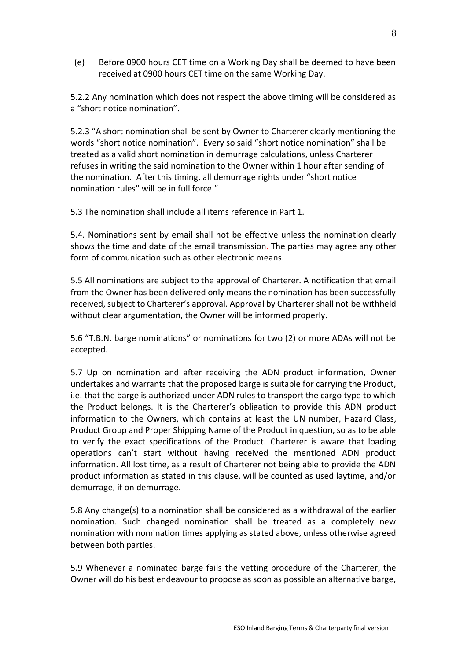(e) Before 0900 hours CET time on a Working Day shall be deemed to have been received at 0900 hours CET time on the same Working Day.

5.2.2 Any nomination which does not respect the above timing will be considered as a "short notice nomination".

5.2.3 "A short nomination shall be sent by Owner to Charterer clearly mentioning the words "short notice nomination". Every so said "short notice nomination" shall be treated as a valid short nomination in demurrage calculations, unless Charterer refuses in writing the said nomination to the Owner within 1 hour after sending of the nomination. After this timing, all demurrage rights under "short notice nomination rules" will be in full force."

5.3 The nomination shall include all items reference in Part 1.

5.4. Nominations sent by email shall not be effective unless the nomination clearly shows the time and date of the email transmission. The parties may agree any other form of communication such as other electronic means.

5.5 All nominations are subject to the approval of Charterer. A notification that email from the Owner has been delivered only means the nomination has been successfully received, subject to Charterer's approval. Approval by Charterer shall not be withheld without clear argumentation, the Owner will be informed properly.

5.6 "T.B.N. barge nominations" or nominations for two (2) or more ADAs will not be accepted.

5.7 Up on nomination and after receiving the ADN product information, Owner undertakes and warrants that the proposed barge is suitable for carrying the Product, i.e. that the barge is authorized under ADN rules to transport the cargo type to which the Product belongs. It is the Charterer's obligation to provide this ADN product information to the Owners, which contains at least the UN number, Hazard Class, Product Group and Proper Shipping Name of the Product in question, so as to be able to verify the exact specifications of the Product. Charterer is aware that loading operations can't start without having received the mentioned ADN product information. All lost time, as a result of Charterer not being able to provide the ADN product information as stated in this clause, will be counted as used laytime, and/or demurrage, if on demurrage.

5.8 Any change(s) to a nomination shall be considered as a withdrawal of the earlier nomination. Such changed nomination shall be treated as a completely new nomination with nomination times applying as stated above, unless otherwise agreed between both parties.

5.9 Whenever a nominated barge fails the vetting procedure of the Charterer, the Owner will do his best endeavour to propose as soon as possible an alternative barge,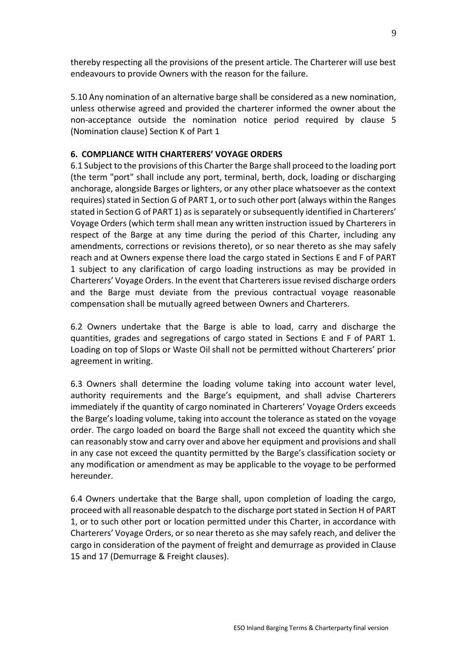thereby respecting all the provisions of the present article. The Charterer will use best endeavours to provide Owners with the reason for the failure.

5.10 Any nomination of an alternative barge shall be considered as a new nomination, unless otherwise agreed and provided the charterer informed the owner about the non-acceptance outside the nomination notice period required by clause 5 (Nomination clause) Section K of Part 1

#### **6. COMPLIANCE WITH CHARTERERS' VOYAGE ORDERS**

6.1 Subject to the provisions of this Charter the Barge shall proceed to the loading port (the term "port" shall include any port, terminal, berth, dock, loading or discharging anchorage, alongside Barges or lighters, or any other place whatsoever as the context requires) stated in Section G of PART 1, or to such other port (always within the Ranges stated in Section G of PART 1) as is separately or subsequently identified in Charterers' Voyage Orders (which term shall mean any written instruction issued by Charterers in respect of the Barge at any time during the period of this Charter, including any amendments, corrections or revisions thereto), or so near thereto as she may safely reach and at Owners expense there load the cargo stated in Sections E and F of PART 1 subject to any clarification of cargo loading instructions as may be provided in Charterers' Voyage Orders. In the event that Charterers issue revised discharge orders and the Barge must deviate from the previous contractual voyage reasonable compensation shall be mutually agreed between Owners and Charterers.

6.2 Owners undertake that the Barge is able to load, carry and discharge the quantities, grades and segregations of cargo stated in Sections E and F of PART 1. Loading on top of Slops or Waste Oil shall not be permitted without Charterers' prior agreement in writing.

6.3 Owners shall determine the loading volume taking into account water level, authority requirements and the Barge's equipment, and shall advise Charterers immediately if the quantity of cargo nominated in Charterers' Voyage Orders exceeds the Barge's loading volume, taking into account the tolerance as stated on the voyage order. The cargo loaded on board the Barge shall not exceed the quantity which she can reasonably stow and carry over and above her equipment and provisions and shall in any case not exceed the quantity permitted by the Barge's classification society or any modification or amendment as may be applicable to the voyage to be performed hereunder.

6.4 Owners undertake that the Barge shall, upon completion of loading the cargo, proceed with all reasonable despatch to the discharge port stated in Section H of PART 1, or to such other port or location permitted under this Charter, in accordance with Charterers' Voyage Orders, or so near thereto as she may safely reach, and deliver the cargo in consideration of the payment of freight and demurrage as provided in Clause 15 and 17 (Demurrage & Freight clauses).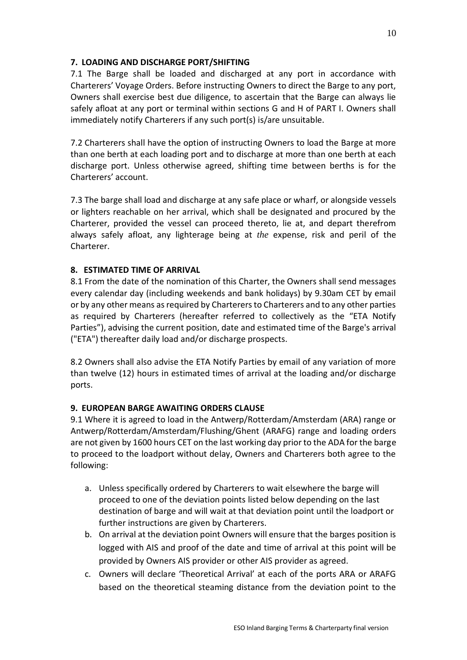## **7. LOADING AND DISCHARGE PORT/SHIFTING**

7.1 The Barge shall be loaded and discharged at any port in accordance with Charterers' Voyage Orders. Before instructing Owners to direct the Barge to any port, Owners shall exercise best due diligence, to ascertain that the Barge can always lie safely afloat at any port or terminal within sections G and H of PART I. Owners shall immediately notify Charterers if any such port(s) is/are unsuitable.

7.2 Charterers shall have the option of instructing Owners to load the Barge at more than one berth at each loading port and to discharge at more than one berth at each discharge port. Unless otherwise agreed, shifting time between berths is for the Charterers' account.

7.3 The barge shall load and discharge at any safe place or wharf, or alongside vessels or lighters reachable on her arrival, which shall be designated and procured by the Charterer, provided the vessel can proceed thereto, lie at, and depart therefrom always safely afloat, any lighterage being at *the* expense, risk and peril of the **Charterer** 

#### **8. ESTIMATED TIME OF ARRIVAL**

8.1 From the date of the nomination of this Charter, the Owners shall send messages every calendar day (including weekends and bank holidays) by 9.30am CET by email or by any other means as required by Charterers to Charterers and to any other parties as required by Charterers (hereafter referred to collectively as the "ETA Notify Parties"), advising the current position, date and estimated time of the Barge's arrival ("ETA") thereafter daily load and/or discharge prospects.

8.2 Owners shall also advise the ETA Notify Parties by email of any variation of more than twelve (12) hours in estimated times of arrival at the loading and/or discharge ports.

## **9. EUROPEAN BARGE AWAITING ORDERS CLAUSE**

9.1 Where it is agreed to load in the Antwerp/Rotterdam/Amsterdam (ARA) range or Antwerp/Rotterdam/Amsterdam/Flushing/Ghent (ARAFG) range and loading orders are not given by 1600 hours CET on the last working day prior to the ADA for the barge to proceed to the loadport without delay, Owners and Charterers both agree to the following:

- a. Unless specifically ordered by Charterers to wait elsewhere the barge will proceed to one of the deviation points listed below depending on the last destination of barge and will wait at that deviation point until the loadport or further instructions are given by Charterers.
- b. On arrival at the deviation point Owners will ensure that the barges position is logged with AIS and proof of the date and time of arrival at this point will be provided by Owners AIS provider or other AIS provider as agreed.
- c. Owners will declare 'Theoretical Arrival' at each of the ports ARA or ARAFG based on the theoretical steaming distance from the deviation point to the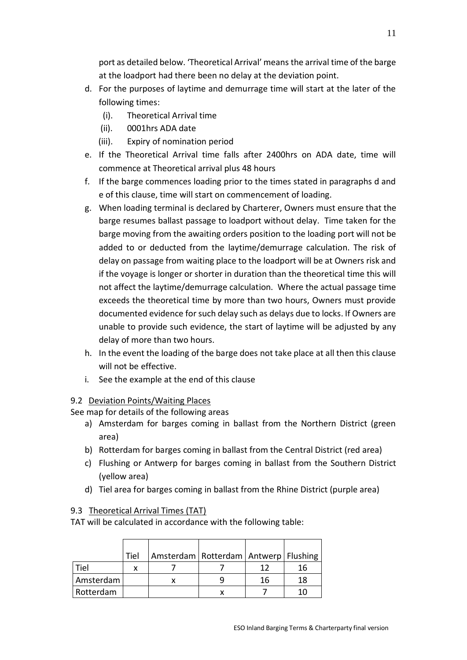port as detailed below. 'Theoretical Arrival' means the arrival time of the barge at the loadport had there been no delay at the deviation point.

- d. For the purposes of laytime and demurrage time will start at the later of the following times:
	- (i). Theoretical Arrival time
	- (ii). 0001hrs ADA date
	- (iii). Expiry of nomination period
- e. If the Theoretical Arrival time falls after 2400hrs on ADA date, time will commence at Theoretical arrival plus 48 hours
- f. If the barge commences loading prior to the times stated in paragraphs d and e of this clause, time will start on commencement of loading.
- g. When loading terminal is declared by Charterer, Owners must ensure that the barge resumes ballast passage to loadport without delay. Time taken for the barge moving from the awaiting orders position to the loading port will not be added to or deducted from the laytime/demurrage calculation. The risk of delay on passage from waiting place to the loadport will be at Owners risk and if the voyage is longer or shorter in duration than the theoretical time this will not affect the laytime/demurrage calculation. Where the actual passage time exceeds the theoretical time by more than two hours, Owners must provide documented evidence for such delay such as delays due to locks. If Owners are unable to provide such evidence, the start of laytime will be adjusted by any delay of more than two hours.
- h. In the event the loading of the barge does not take place at all then this clause will not be effective.
- i. See the example at the end of this clause

#### 9.2 Deviation Points/Waiting Places

See map for details of the following areas

- a) Amsterdam for barges coming in ballast from the Northern District (green area)
- b) Rotterdam for barges coming in ballast from the Central District (red area)
- c) Flushing or Antwerp for barges coming in ballast from the Southern District (yellow area)
- d) Tiel area for barges coming in ballast from the Rhine District (purple area)

#### 9.3Theoretical Arrival Times (TAT)

TAT will be calculated in accordance with the following table:

|           | Tiel | Amsterdam   Rotterdam   Antwerp   Flushing |    |    |
|-----------|------|--------------------------------------------|----|----|
| Tiel      |      |                                            | 12 | 16 |
| Amsterdam |      |                                            | 16 | 18 |
| Rotterdam |      |                                            |    |    |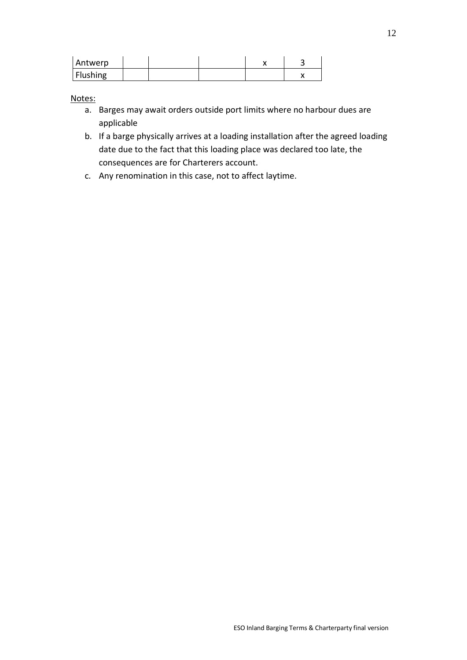| Antwerp  |  |  |  |
|----------|--|--|--|
| Flushing |  |  |  |

Notes:

- a. Barges may await orders outside port limits where no harbour dues are applicable
- b. If a barge physically arrives at a loading installation after the agreed loading date due to the fact that this loading place was declared too late, the consequences are for Charterers account.
- c. Any renomination in this case, not to affect laytime.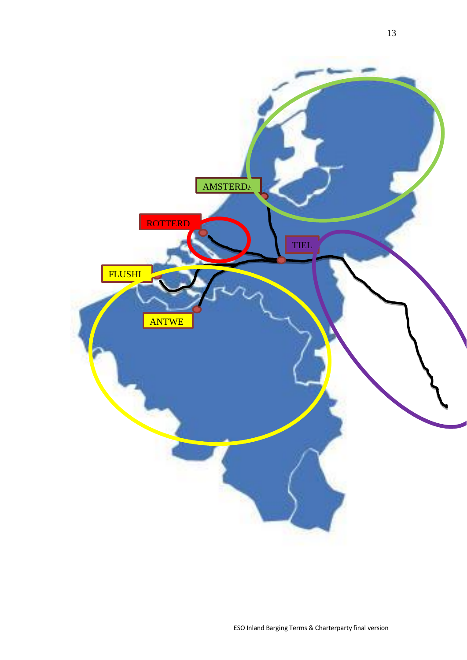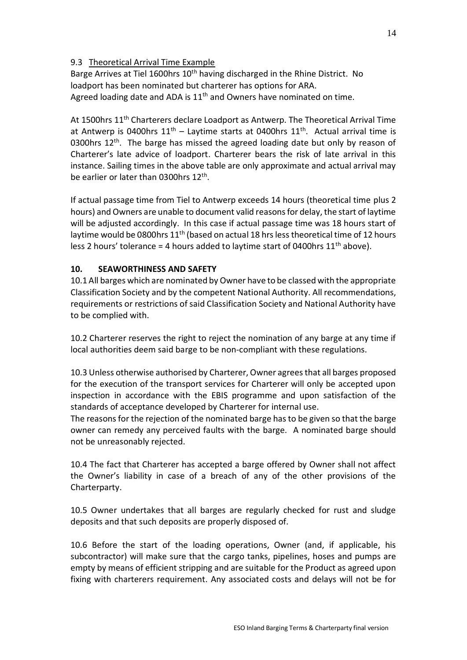## 9.3Theoretical Arrival Time Example

Barge Arrives at Tiel 1600hrs 10<sup>th</sup> having discharged in the Rhine District. No loadport has been nominated but charterer has options for ARA. Agreed loading date and ADA is  $11<sup>th</sup>$  and Owners have nominated on time.

At 1500hrs 11<sup>th</sup> Charterers declare Loadport as Antwerp. The Theoretical Arrival Time at Antwerp is 0400hrs  $11<sup>th</sup>$  – Laytime starts at 0400hrs  $11<sup>th</sup>$ . Actual arrival time is 0300hrs  $12<sup>th</sup>$ . The barge has missed the agreed loading date but only by reason of Charterer's late advice of loadport. Charterer bears the risk of late arrival in this instance. Sailing times in the above table are only approximate and actual arrival may be earlier or later than 0300hrs 12<sup>th</sup>.

If actual passage time from Tiel to Antwerp exceeds 14 hours (theoretical time plus 2 hours) and Owners are unable to document valid reasons for delay, the start of laytime will be adjusted accordingly. In this case if actual passage time was 18 hours start of laytime would be 0800hrs 11<sup>th</sup> (based on actual 18 hrs less theoretical time of 12 hours less 2 hours' tolerance = 4 hours added to laytime start of 0400hrs  $11<sup>th</sup>$  above).

#### **10. SEAWORTHINESS AND SAFETY**

10.1 All barges which are nominated by Owner have to be classed with the appropriate Classification Society and by the competent National Authority. All recommendations, requirements or restrictions of said Classification Society and National Authority have to be complied with.

10.2 Charterer reserves the right to reject the nomination of any barge at any time if local authorities deem said barge to be non-compliant with these regulations.

10.3 Unless otherwise authorised by Charterer, Owner agrees that all barges proposed for the execution of the transport services for Charterer will only be accepted upon inspection in accordance with the EBIS programme and upon satisfaction of the standards of acceptance developed by Charterer for internal use.

The reasons for the rejection of the nominated barge has to be given so that the barge owner can remedy any perceived faults with the barge. A nominated barge should not be unreasonably rejected.

10.4 The fact that Charterer has accepted a barge offered by Owner shall not affect the Owner's liability in case of a breach of any of the other provisions of the Charterparty.

10.5 Owner undertakes that all barges are regularly checked for rust and sludge deposits and that such deposits are properly disposed of.

10.6 Before the start of the loading operations, Owner (and, if applicable, his subcontractor) will make sure that the cargo tanks, pipelines, hoses and pumps are empty by means of efficient stripping and are suitable for the Product as agreed upon fixing with charterers requirement. Any associated costs and delays will not be for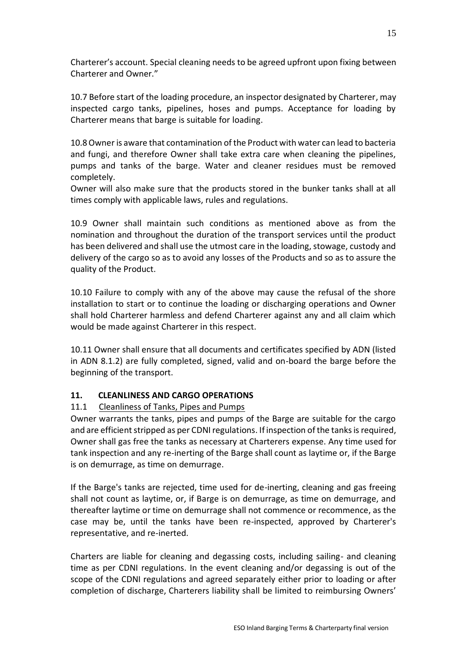Charterer's account. Special cleaning needs to be agreed upfront upon fixing between Charterer and Owner."

10.7 Before start of the loading procedure, an inspector designated by Charterer, may inspected cargo tanks, pipelines, hoses and pumps. Acceptance for loading by Charterer means that barge is suitable for loading.

10.8Owner is aware that contamination of the Product with water can lead to bacteria and fungi, and therefore Owner shall take extra care when cleaning the pipelines, pumps and tanks of the barge. Water and cleaner residues must be removed completely.

Owner will also make sure that the products stored in the bunker tanks shall at all times comply with applicable laws, rules and regulations.

10.9 Owner shall maintain such conditions as mentioned above as from the nomination and throughout the duration of the transport services until the product has been delivered and shall use the utmost care in the loading, stowage, custody and delivery of the cargo so as to avoid any losses of the Products and so as to assure the quality of the Product.

10.10 Failure to comply with any of the above may cause the refusal of the shore installation to start or to continue the loading or discharging operations and Owner shall hold Charterer harmless and defend Charterer against any and all claim which would be made against Charterer in this respect.

10.11 Owner shall ensure that all documents and certificates specified by ADN (listed in ADN 8.1.2) are fully completed, signed, valid and on-board the barge before the beginning of the transport.

## **11. CLEANLINESS AND CARGO OPERATIONS**

## 11.1 Cleanliness of Tanks, Pipes and Pumps

Owner warrants the tanks, pipes and pumps of the Barge are suitable for the cargo and are efficient stripped as per CDNI regulations. If inspection of the tanks is required, Owner shall gas free the tanks as necessary at Charterers expense. Any time used for tank inspection and any re-inerting of the Barge shall count as laytime or, if the Barge is on demurrage, as time on demurrage.

If the Barge's tanks are rejected, time used for de-inerting, cleaning and gas freeing shall not count as laytime, or, if Barge is on demurrage, as time on demurrage, and thereafter laytime or time on demurrage shall not commence or recommence, as the case may be, until the tanks have been re-inspected, approved by Charterer's representative, and re-inerted.

Charters are liable for cleaning and degassing costs, including sailing- and cleaning time as per CDNI regulations. In the event cleaning and/or degassing is out of the scope of the CDNI regulations and agreed separately either prior to loading or after completion of discharge, Charterers liability shall be limited to reimbursing Owners'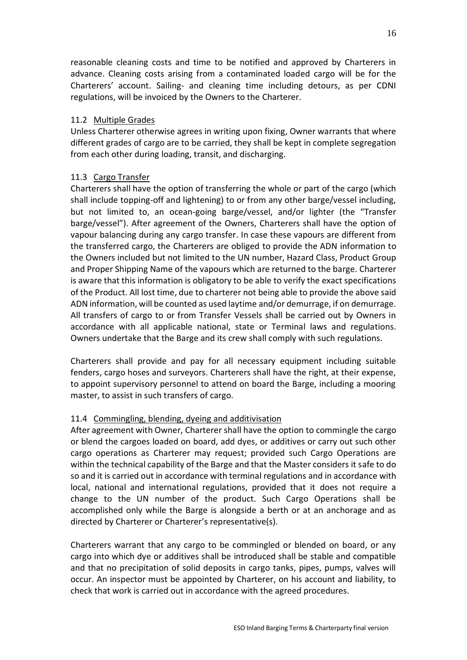reasonable cleaning costs and time to be notified and approved by Charterers in advance. Cleaning costs arising from a contaminated loaded cargo will be for the Charterers' account. Sailing- and cleaning time including detours, as per CDNI regulations, will be invoiced by the Owners to the Charterer.

#### 11.2 Multiple Grades

Unless Charterer otherwise agrees in writing upon fixing, Owner warrants that where different grades of cargo are to be carried, they shall be kept in complete segregation from each other during loading, transit, and discharging.

#### 11.3 Cargo Transfer

Charterers shall have the option of transferring the whole or part of the cargo (which shall include topping-off and lightening) to or from any other barge/vessel including, but not limited to, an ocean-going barge/vessel, and/or lighter (the "Transfer barge/vessel"). After agreement of the Owners, Charterers shall have the option of vapour balancing during any cargo transfer. In case these vapours are different from the transferred cargo, the Charterers are obliged to provide the ADN information to the Owners included but not limited to the UN number, Hazard Class, Product Group and Proper Shipping Name of the vapours which are returned to the barge. Charterer is aware that this information is obligatory to be able to verify the exact specifications of the Product. All lost time, due to charterer not being able to provide the above said ADN information, will be counted as used laytime and/or demurrage, if on demurrage. All transfers of cargo to or from Transfer Vessels shall be carried out by Owners in accordance with all applicable national, state or Terminal laws and regulations. Owners undertake that the Barge and its crew shall comply with such regulations.

Charterers shall provide and pay for all necessary equipment including suitable fenders, cargo hoses and surveyors. Charterers shall have the right, at their expense, to appoint supervisory personnel to attend on board the Barge, including a mooring master, to assist in such transfers of cargo.

#### 11.4 Commingling, blending, dyeing and additivisation

After agreement with Owner, Charterer shall have the option to commingle the cargo or blend the cargoes loaded on board, add dyes, or additives or carry out such other cargo operations as Charterer may request; provided such Cargo Operations are within the technical capability of the Barge and that the Master considers it safe to do so and it is carried out in accordance with terminal regulations and in accordance with local, national and international regulations, provided that it does not require a change to the UN number of the product. Such Cargo Operations shall be accomplished only while the Barge is alongside a berth or at an anchorage and as directed by Charterer or Charterer's representative(s).

Charterers warrant that any cargo to be commingled or blended on board, or any cargo into which dye or additives shall be introduced shall be stable and compatible and that no precipitation of solid deposits in cargo tanks, pipes, pumps, valves will occur. An inspector must be appointed by Charterer, on his account and liability, to check that work is carried out in accordance with the agreed procedures.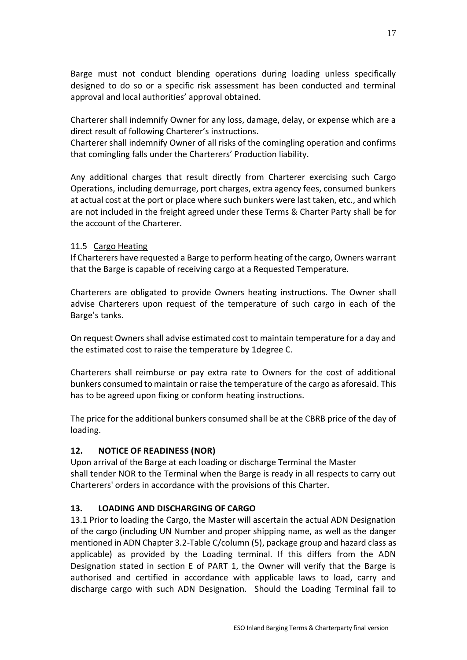Barge must not conduct blending operations during loading unless specifically designed to do so or a specific risk assessment has been conducted and terminal approval and local authorities' approval obtained.

Charterer shall indemnify Owner for any loss, damage, delay, or expense which are a direct result of following Charterer's instructions.

Charterer shall indemnify Owner of all risks of the comingling operation and confirms that comingling falls under the Charterers' Production liability.

Any additional charges that result directly from Charterer exercising such Cargo Operations, including demurrage, port charges, extra agency fees, consumed bunkers at actual cost at the port or place where such bunkers were last taken, etc., and which are not included in the freight agreed under these Terms & Charter Party shall be for the account of the Charterer.

## 11.5 Cargo Heating

If Charterers have requested a Barge to perform heating of the cargo, Owners warrant that the Barge is capable of receiving cargo at a Requested Temperature.

Charterers are obligated to provide Owners heating instructions. The Owner shall advise Charterers upon request of the temperature of such cargo in each of the Barge's tanks.

On request Owners shall advise estimated cost to maintain temperature for a day and the estimated cost to raise the temperature by 1degree C.

Charterers shall reimburse or pay extra rate to Owners for the cost of additional bunkers consumed to maintain or raise the temperature of the cargo as aforesaid. This has to be agreed upon fixing or conform heating instructions.

The price for the additional bunkers consumed shall be at the CBRB price of the day of loading.

## **12. NOTICE OF READINESS (NOR)**

Upon arrival of the Barge at each loading or discharge Terminal the Master shall tender NOR to the Terminal when the Barge is ready in all respects to carry out Charterers' orders in accordance with the provisions of this Charter.

## **13. LOADING AND DISCHARGING OF CARGO**

13.1 Prior to loading the Cargo, the Master will ascertain the actual ADN Designation of the cargo (including UN Number and proper shipping name, as well as the danger mentioned in ADN Chapter 3.2-Table C/column (5), package group and hazard class as applicable) as provided by the Loading terminal. If this differs from the ADN Designation stated in section E of PART 1, the Owner will verify that the Barge is authorised and certified in accordance with applicable laws to load, carry and discharge cargo with such ADN Designation. Should the Loading Terminal fail to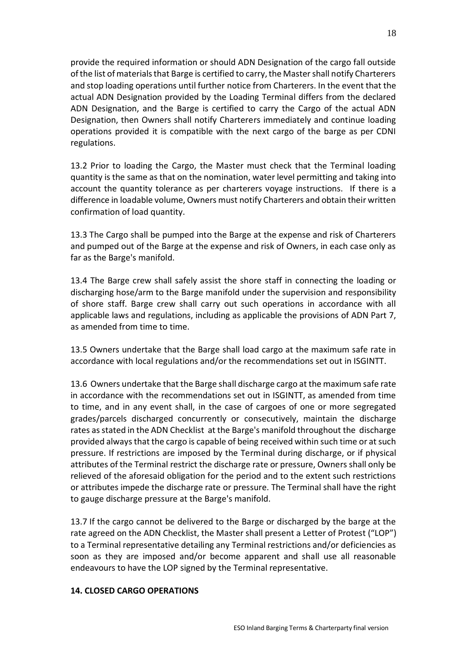provide the required information or should ADN Designation of the cargo fall outside of the list of materials that Barge is certified to carry, the Master shall notify Charterers and stop loading operations until further notice from Charterers. In the event that the actual ADN Designation provided by the Loading Terminal differs from the declared ADN Designation, and the Barge is certified to carry the Cargo of the actual ADN Designation, then Owners shall notify Charterers immediately and continue loading operations provided it is compatible with the next cargo of the barge as per CDNI regulations.

13.2 Prior to loading the Cargo, the Master must check that the Terminal loading quantity is the same as that on the nomination, water level permitting and taking into account the quantity tolerance as per charterers voyage instructions. If there is a difference in loadable volume, Owners must notify Charterers and obtain their written confirmation of load quantity.

13.3 The Cargo shall be pumped into the Barge at the expense and risk of Charterers and pumped out of the Barge at the expense and risk of Owners, in each case only as far as the Barge's manifold.

13.4 The Barge crew shall safely assist the shore staff in connecting the loading or discharging hose/arm to the Barge manifold under the supervision and responsibility of shore staff. Barge crew shall carry out such operations in accordance with all applicable laws and regulations, including as applicable the provisions of ADN Part 7, as amended from time to time.

13.5 Owners undertake that the Barge shall load cargo at the maximum safe rate in accordance with local regulations and/or the recommendations set out in ISGINTT.

13.6 Owners undertake that the Barge shall discharge cargo at the maximum safe rate in accordance with the recommendations set out in ISGINTT, as amended from time to time, and in any event shall, in the case of cargoes of one or more segregated grades/parcels discharged concurrently or consecutively, maintain the discharge rates as stated in the ADN Checklist at the Barge's manifold throughout the discharge provided always that the cargo is capable of being received within such time or at such pressure. If restrictions are imposed by the Terminal during discharge, or if physical attributes of the Terminal restrict the discharge rate or pressure, Owners shall only be relieved of the aforesaid obligation for the period and to the extent such restrictions or attributes impede the discharge rate or pressure. The Terminal shall have the right to gauge discharge pressure at the Barge's manifold.

13.7 If the cargo cannot be delivered to the Barge or discharged by the barge at the rate agreed on the ADN Checklist, the Master shall present a Letter of Protest ("LOP") to a Terminal representative detailing any Terminal restrictions and/or deficiencies as soon as they are imposed and/or become apparent and shall use all reasonable endeavours to have the LOP signed by the Terminal representative.

#### **14. CLOSED CARGO OPERATIONS**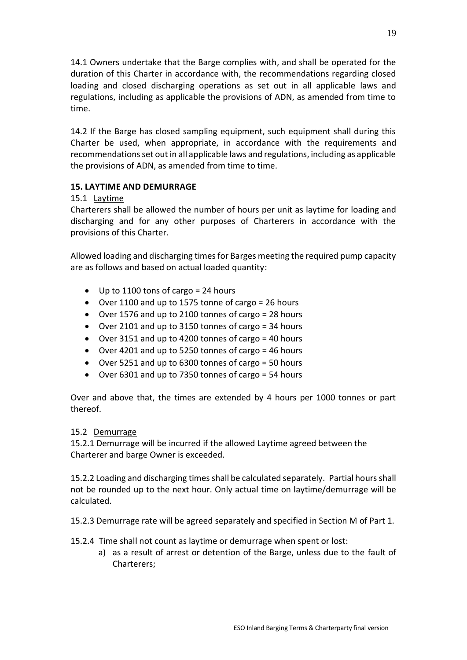14.1 Owners undertake that the Barge complies with, and shall be operated for the duration of this Charter in accordance with, the recommendations regarding closed loading and closed discharging operations as set out in all applicable laws and regulations, including as applicable the provisions of ADN, as amended from time to time.

14.2 If the Barge has closed sampling equipment, such equipment shall during this Charter be used, when appropriate, in accordance with the requirements and recommendations set out in all applicable laws and regulations, including as applicable the provisions of ADN, as amended from time to time.

#### **15. LAYTIME AND DEMURRAGE**

#### 15.1 Laytime

Charterers shall be allowed the number of hours per unit as laytime for loading and discharging and for any other purposes of Charterers in accordance with the provisions of this Charter.

Allowed loading and discharging times for Barges meeting the required pump capacity are as follows and based on actual loaded quantity:

- Up to 1100 tons of cargo = 24 hours
- Over 1100 and up to 1575 tonne of cargo = 26 hours
- Over 1576 and up to 2100 tonnes of cargo = 28 hours
- Over 2101 and up to 3150 tonnes of cargo = 34 hours
- Over 3151 and up to 4200 tonnes of cargo = 40 hours
- Over 4201 and up to 5250 tonnes of cargo = 46 hours
- Over 5251 and up to 6300 tonnes of cargo = 50 hours
- Over 6301 and up to 7350 tonnes of cargo = 54 hours

Over and above that, the times are extended by 4 hours per 1000 tonnes or part thereof.

#### 15.2 Demurrage

15.2.1 Demurrage will be incurred if the allowed Laytime agreed between the Charterer and barge Owner is exceeded.

15.2.2 Loading and discharging times shall be calculated separately. Partial hours shall not be rounded up to the next hour. Only actual time on laytime/demurrage will be calculated.

15.2.3 Demurrage rate will be agreed separately and specified in Section M of Part 1.

15.2.4 Time shall not count as laytime or demurrage when spent or lost:

a) as a result of arrest or detention of the Barge, unless due to the fault of Charterers;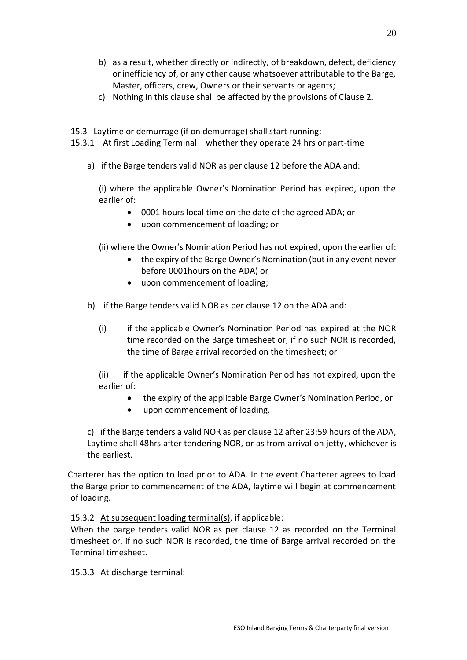- b) as a result, whether directly or indirectly, of breakdown, defect, deficiency or inefficiency of, or any other cause whatsoever attributable to the Barge, Master, officers, crew, Owners or their servants or agents;
- c) Nothing in this clause shall be affected by the provisions of Clause 2.

#### 15.3 Laytime or demurrage (if on demurrage) shall start running:

15.3.1 At first Loading Terminal – whether they operate 24 hrs or part-time

a) if the Barge tenders valid NOR as per clause 12 before the ADA and:

(i) where the applicable Owner's Nomination Period has expired, upon the earlier of:

- 0001 hours local time on the date of the agreed ADA; or
- upon commencement of loading; or
- (ii) where the Owner's Nomination Period has not expired, upon the earlier of:
	- the expiry of the Barge Owner's Nomination (but in any event never before 0001hours on the ADA) or
	- upon commencement of loading;
- b) if the Barge tenders valid NOR as per clause 12 on the ADA and:
	- (i) if the applicable Owner's Nomination Period has expired at the NOR time recorded on the Barge timesheet or, if no such NOR is recorded, the time of Barge arrival recorded on the timesheet; or

(ii) if the applicable Owner's Nomination Period has not expired, upon the earlier of:

- the expiry of the applicable Barge Owner's Nomination Period, or
- upon commencement of loading.

c) if the Barge tenders a valid NOR as per clause 12 after 23:59 hours of the ADA, Laytime shall 48hrs after tendering NOR, or as from arrival on jetty, whichever is the earliest.

 Charterer has the option to load prior to ADA. In the event Charterer agrees to load the Barge prior to commencement of the ADA, laytime will begin at commencement of loading.

15.3.2 At subsequent loading terminal(s), if applicable:

When the barge tenders valid NOR as per clause 12 as recorded on the Terminal timesheet or, if no such NOR is recorded, the time of Barge arrival recorded on the Terminal timesheet.

15.3.3At discharge terminal: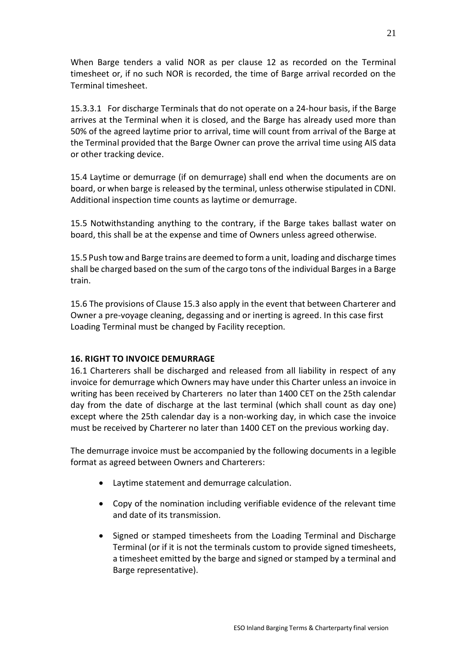When Barge tenders a valid NOR as per clause 12 as recorded on the Terminal timesheet or, if no such NOR is recorded, the time of Barge arrival recorded on the Terminal timesheet.

15.3.3.1 For discharge Terminals that do not operate on a 24-hour basis, if the Barge arrives at the Terminal when it is closed, and the Barge has already used more than 50% of the agreed laytime prior to arrival, time will count from arrival of the Barge at the Terminal provided that the Barge Owner can prove the arrival time using AIS data or other tracking device.

15.4 Laytime or demurrage (if on demurrage) shall end when the documents are on board, or when barge is released by the terminal, unless otherwise stipulated in CDNI. Additional inspection time counts as laytime or demurrage.

15.5 Notwithstanding anything to the contrary, if the Barge takes ballast water on board, this shall be at the expense and time of Owners unless agreed otherwise.

15.5 Push tow and Barge trains are deemed to form a unit, loading and discharge times shall be charged based on the sum of the cargo tons of the individual Barges in a Barge train.

15.6 The provisions of Clause 15.3 also apply in the event that between Charterer and Owner a pre-voyage cleaning, degassing and or inerting is agreed. In this case first Loading Terminal must be changed by Facility reception.

## **16. RIGHT TO INVOICE DEMURRAGE**

16.1 Charterers shall be discharged and released from all liability in respect of any invoice for demurrage which Owners may have under this Charter unless an invoice in writing has been received by Charterers no later than 1400 CET on the 25th calendar day from the date of discharge at the last terminal (which shall count as day one) except where the 25th calendar day is a non-working day, in which case the invoice must be received by Charterer no later than 1400 CET on the previous working day.

The demurrage invoice must be accompanied by the following documents in a legible format as agreed between Owners and Charterers:

- Laytime statement and demurrage calculation.
- Copy of the nomination including verifiable evidence of the relevant time and date of its transmission.
- Signed or stamped timesheets from the Loading Terminal and Discharge Terminal (or if it is not the terminals custom to provide signed timesheets, a timesheet emitted by the barge and signed or stamped by a terminal and Barge representative).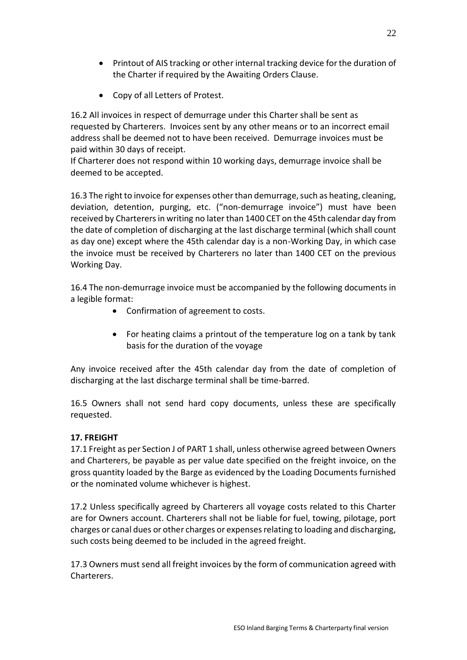- Printout of AIS tracking or other internal tracking device for the duration of the Charter if required by the Awaiting Orders Clause.
- Copy of all Letters of Protest.

16.2 All invoices in respect of demurrage under this Charter shall be sent as requested by Charterers. Invoices sent by any other means or to an incorrect email address shall be deemed not to have been received. Demurrage invoices must be paid within 30 days of receipt.

If Charterer does not respond within 10 working days, demurrage invoice shall be deemed to be accepted.

16.3 The right to invoice for expenses other than demurrage, such as heating, cleaning, deviation, detention, purging, etc. ("non-demurrage invoice") must have been received by Charterers in writing no later than 1400 CET on the 45th calendar day from the date of completion of discharging at the last discharge terminal (which shall count as day one) except where the 45th calendar day is a non-Working Day, in which case the invoice must be received by Charterers no later than 1400 CET on the previous Working Day.

16.4 The non-demurrage invoice must be accompanied by the following documents in a legible format:

- Confirmation of agreement to costs.
- For heating claims a printout of the temperature log on a tank by tank basis for the duration of the voyage

Any invoice received after the 45th calendar day from the date of completion of discharging at the last discharge terminal shall be time-barred.

16.5 Owners shall not send hard copy documents, unless these are specifically requested.

## **17. FREIGHT**

17.1 Freight as per Section J of PART 1 shall, unless otherwise agreed between Owners and Charterers, be payable as per value date specified on the freight invoice, on the gross quantity loaded by the Barge as evidenced by the Loading Documents furnished or the nominated volume whichever is highest.

17.2 Unless specifically agreed by Charterers all voyage costs related to this Charter are for Owners account. Charterers shall not be liable for fuel, towing, pilotage, port charges or canal dues or other charges or expenses relating to loading and discharging, such costs being deemed to be included in the agreed freight.

17.3 Owners must send all freight invoices by the form of communication agreed with Charterers.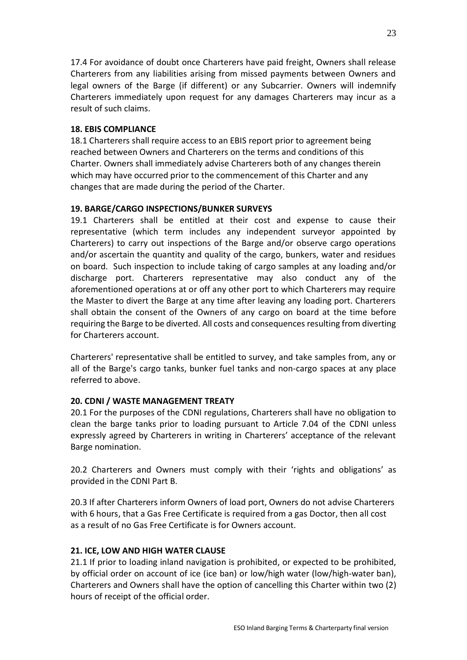17.4 For avoidance of doubt once Charterers have paid freight, Owners shall release Charterers from any liabilities arising from missed payments between Owners and legal owners of the Barge (if different) or any Subcarrier. Owners will indemnify Charterers immediately upon request for any damages Charterers may incur as a result of such claims.

## **18. EBIS COMPLIANCE**

18.1 Charterers shall require access to an EBIS report prior to agreement being reached between Owners and Charterers on the terms and conditions of this Charter. Owners shall immediately advise Charterers both of any changes therein which may have occurred prior to the commencement of this Charter and any changes that are made during the period of the Charter.

#### **19. BARGE/CARGO INSPECTIONS/BUNKER SURVEYS**

19.1 Charterers shall be entitled at their cost and expense to cause their representative (which term includes any independent surveyor appointed by Charterers) to carry out inspections of the Barge and/or observe cargo operations and/or ascertain the quantity and quality of the cargo, bunkers, water and residues on board. Such inspection to include taking of cargo samples at any loading and/or discharge port. Charterers representative may also conduct any of the aforementioned operations at or off any other port to which Charterers may require the Master to divert the Barge at any time after leaving any loading port. Charterers shall obtain the consent of the Owners of any cargo on board at the time before requiring the Barge to be diverted. All costs and consequences resulting from diverting for Charterers account.

Charterers' representative shall be entitled to survey, and take samples from, any or all of the Barge's cargo tanks, bunker fuel tanks and non-cargo spaces at any place referred to above.

## **20. CDNI / WASTE MANAGEMENT TREATY**

20.1 For the purposes of the CDNI regulations, Charterers shall have no obligation to clean the barge tanks prior to loading pursuant to Article 7.04 of the CDNI unless expressly agreed by Charterers in writing in Charterers' acceptance of the relevant Barge nomination.

20.2 Charterers and Owners must comply with their 'rights and obligations' as provided in the CDNI Part B.

20.3 If after Charterers inform Owners of load port, Owners do not advise Charterers with 6 hours, that a Gas Free Certificate is required from a gas Doctor, then all cost as a result of no Gas Free Certificate is for Owners account.

## **21. ICE, LOW AND HIGH WATER CLAUSE**

21.1 If prior to loading inland navigation is prohibited, or expected to be prohibited, by official order on account of ice (ice ban) or low/high water (low/high-water ban), Charterers and Owners shall have the option of cancelling this Charter within two (2) hours of receipt of the official order.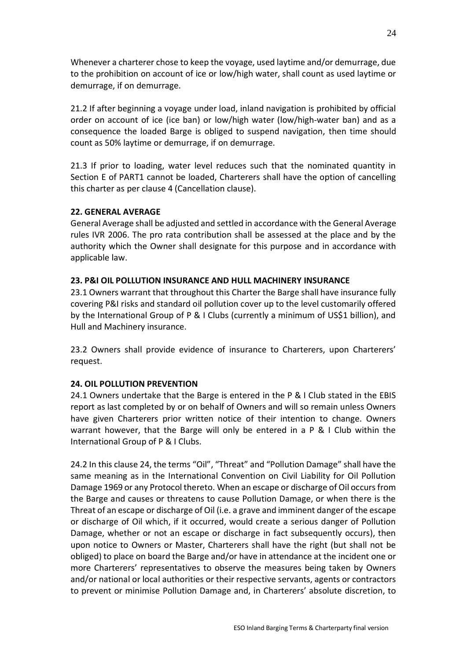Whenever a charterer chose to keep the voyage, used laytime and/or demurrage, due to the prohibition on account of ice or low/high water, shall count as used laytime or demurrage, if on demurrage.

21.2 If after beginning a voyage under load, inland navigation is prohibited by official order on account of ice (ice ban) or low/high water (low/high-water ban) and as a consequence the loaded Barge is obliged to suspend navigation, then time should count as 50% laytime or demurrage, if on demurrage.

21.3 If prior to loading, water level reduces such that the nominated quantity in Section E of PART1 cannot be loaded, Charterers shall have the option of cancelling this charter as per clause 4 (Cancellation clause).

#### **22. GENERAL AVERAGE**

General Average shall be adjusted and settled in accordance with the General Average rules IVR 2006. The pro rata contribution shall be assessed at the place and by the authority which the Owner shall designate for this purpose and in accordance with applicable law.

#### **23. P&I OIL POLLUTION INSURANCE AND HULL MACHINERY INSURANCE**

23.1 Owners warrant that throughout this Charter the Barge shall have insurance fully covering P&I risks and standard oil pollution cover up to the level customarily offered by the International Group of P & I Clubs (currently a minimum of US\$1 billion), and Hull and Machinery insurance.

23.2 Owners shall provide evidence of insurance to Charterers, upon Charterers' request.

## **24. OIL POLLUTION PREVENTION**

24.1 Owners undertake that the Barge is entered in the P & I Club stated in the EBIS report as last completed by or on behalf of Owners and will so remain unless Owners have given Charterers prior written notice of their intention to change. Owners warrant however, that the Barge will only be entered in a P & I Club within the International Group of P & I Clubs.

24.2 In this clause 24, the terms "Oil", "Threat" and "Pollution Damage" shall have the same meaning as in the International Convention on Civil Liability for Oil Pollution Damage 1969 or any Protocol thereto. When an escape or discharge of Oil occurs from the Barge and causes or threatens to cause Pollution Damage, or when there is the Threat of an escape or discharge of Oil (i.e. a grave and imminent danger of the escape or discharge of Oil which, if it occurred, would create a serious danger of Pollution Damage, whether or not an escape or discharge in fact subsequently occurs), then upon notice to Owners or Master, Charterers shall have the right (but shall not be obliged) to place on board the Barge and/or have in attendance at the incident one or more Charterers' representatives to observe the measures being taken by Owners and/or national or local authorities or their respective servants, agents or contractors to prevent or minimise Pollution Damage and, in Charterers' absolute discretion, to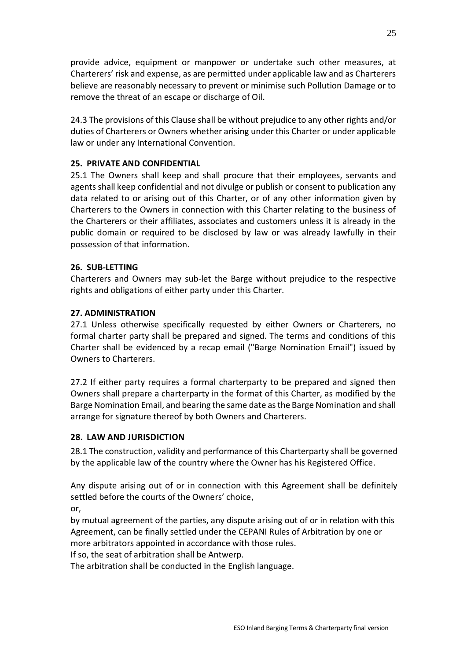provide advice, equipment or manpower or undertake such other measures, at Charterers' risk and expense, as are permitted under applicable law and as Charterers believe are reasonably necessary to prevent or minimise such Pollution Damage or to remove the threat of an escape or discharge of Oil.

24.3 The provisions of this Clause shall be without prejudice to any other rights and/or duties of Charterers or Owners whether arising under this Charter or under applicable law or under any International Convention.

#### **25. PRIVATE AND CONFIDENTIAL**

25.1 The Owners shall keep and shall procure that their employees, servants and agents shall keep confidential and not divulge or publish or consent to publication any data related to or arising out of this Charter, or of any other information given by Charterers to the Owners in connection with this Charter relating to the business of the Charterers or their affiliates, associates and customers unless it is already in the public domain or required to be disclosed by law or was already lawfully in their possession of that information.

#### **26. SUB-LETTING**

Charterers and Owners may sub-let the Barge without prejudice to the respective rights and obligations of either party under this Charter.

#### **27. ADMINISTRATION**

27.1 Unless otherwise specifically requested by either Owners or Charterers, no formal charter party shall be prepared and signed. The terms and conditions of this Charter shall be evidenced by a recap email ("Barge Nomination Email") issued by Owners to Charterers.

27.2 If either party requires a formal charterparty to be prepared and signed then Owners shall prepare a charterparty in the format of this Charter, as modified by the Barge Nomination Email, and bearing the same date as the Barge Nomination and shall arrange for signature thereof by both Owners and Charterers.

#### **28. LAW AND JURISDICTION**

28.1 The construction, validity and performance of this Charterparty shall be governed by the applicable law of the country where the Owner has his Registered Office.

Any dispute arising out of or in connection with this Agreement shall be definitely settled before the courts of the Owners' choice,

or,

by mutual agreement of the parties, any dispute arising out of or in relation with this Agreement, can be finally settled under the CEPANI Rules of Arbitration by one or more arbitrators appointed in accordance with those rules.

If so, the seat of arbitration shall be Antwerp.

The arbitration shall be conducted in the English language.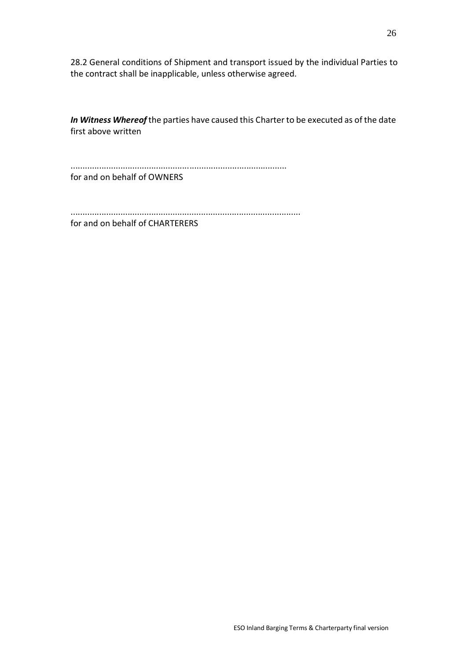28.2 General conditions of Shipment and transport issued by the individual Parties to the contract shall be inapplicable, unless otherwise agreed.

*In Witness Whereof* the parties have caused this Charter to be executed as of the date first above written

...........................................................................................

for and on behalf of OWNERS

.................................................................................................

for and on behalf of CHARTERERS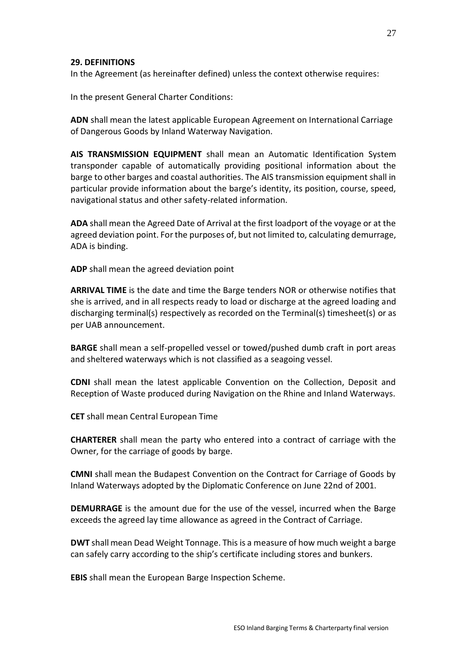#### **29. DEFINITIONS**

In the Agreement (as hereinafter defined) unless the context otherwise requires:

In the present General Charter Conditions:

**ADN** shall mean the latest applicable European Agreement on International Carriage of Dangerous Goods by Inland Waterway Navigation.

**AIS TRANSMISSION EQUIPMENT** shall mean an Automatic Identification System transponder capable of automatically providing positional information about the barge to other barges and coastal authorities. The AIS transmission equipment shall in particular provide information about the barge's identity, its position, course, speed, navigational status and other safety-related information.

**ADA** shall mean the Agreed Date of Arrival at the first loadport of the voyage or at the agreed deviation point. For the purposes of, but not limited to, calculating demurrage, ADA is binding.

**ADP** shall mean the agreed deviation point

**ARRIVAL TIME** is the date and time the Barge tenders NOR or otherwise notifies that she is arrived, and in all respects ready to load or discharge at the agreed loading and discharging terminal(s) respectively as recorded on the Terminal(s) timesheet(s) or as per UAB announcement.

**BARGE** shall mean a self-propelled vessel or towed/pushed dumb craft in port areas and sheltered waterways which is not classified as a seagoing vessel.

**CDNI** shall mean the latest applicable Convention on the Collection, Deposit and Reception of Waste produced during Navigation on the Rhine and Inland Waterways.

**CET** shall mean Central European Time

**CHARTERER** shall mean the party who entered into a contract of carriage with the Owner, for the carriage of goods by barge.

**CMNI** shall mean the Budapest Convention on the Contract for Carriage of Goods by Inland Waterways adopted by the Diplomatic Conference on June 22nd of 2001.

**DEMURRAGE** is the amount due for the use of the vessel, incurred when the Barge exceeds the agreed lay time allowance as agreed in the Contract of Carriage.

**DWT** shall mean Dead Weight Tonnage. This is a measure of how much weight a barge can safely carry according to the ship's certificate including stores and bunkers.

**EBIS** shall mean the European Barge Inspection Scheme.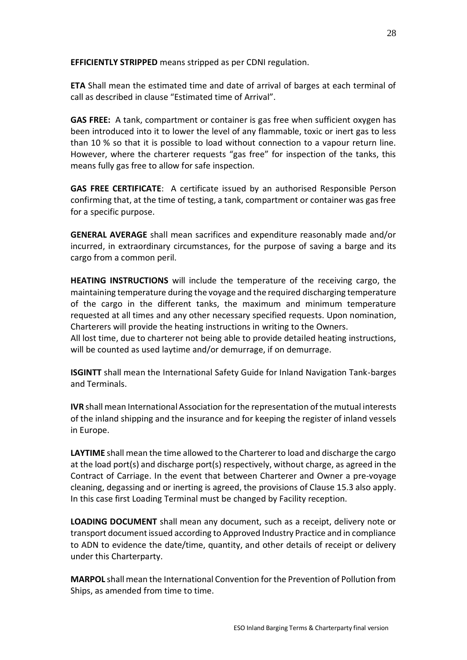**EFFICIENTLY STRIPPED** means stripped as per CDNI regulation.

**ETA** Shall mean the estimated time and date of arrival of barges at each terminal of call as described in clause "Estimated time of Arrival".

**GAS FREE:** A tank, compartment or container is gas free when sufficient oxygen has been introduced into it to lower the level of any flammable, toxic or inert gas to less than 10 % so that it is possible to load without connection to a vapour return line. However, where the charterer requests "gas free" for inspection of the tanks, this means fully gas free to allow for safe inspection.

**GAS FREE CERTIFICATE**: A certificate issued by an authorised Responsible Person confirming that, at the time of testing, a tank, compartment or container was gas free for a specific purpose.

**GENERAL AVERAGE** shall mean sacrifices and expenditure reasonably made and/or incurred, in extraordinary circumstances, for the purpose of saving a barge and its cargo from a common peril.

**HEATING INSTRUCTIONS** will include the temperature of the receiving cargo, the maintaining temperature during the voyage and the required discharging temperature of the cargo in the different tanks, the maximum and minimum temperature requested at all times and any other necessary specified requests. Upon nomination, Charterers will provide the heating instructions in writing to the Owners.

All lost time, due to charterer not being able to provide detailed heating instructions, will be counted as used laytime and/or demurrage, if on demurrage.

**ISGINTT** shall mean the International Safety Guide for Inland Navigation Tank-barges and Terminals.

**IVR** shall mean International Association for the representation of the mutual interests of the inland shipping and the insurance and for keeping the register of inland vessels in Europe.

**LAYTIME** shall mean the time allowed to the Charterer to load and discharge the cargo at the load port(s) and discharge port(s) respectively, without charge, as agreed in the Contract of Carriage. In the event that between Charterer and Owner a pre-voyage cleaning, degassing and or inerting is agreed, the provisions of Clause 15.3 also apply. In this case first Loading Terminal must be changed by Facility reception.

**LOADING DOCUMENT** shall mean any document, such as a receipt, delivery note or transport document issued according to Approved Industry Practice and in compliance to ADN to evidence the date/time, quantity, and other details of receipt or delivery under this Charterparty.

**MARPOL** shall mean the International Convention for the Prevention of Pollution from Ships, as amended from time to time.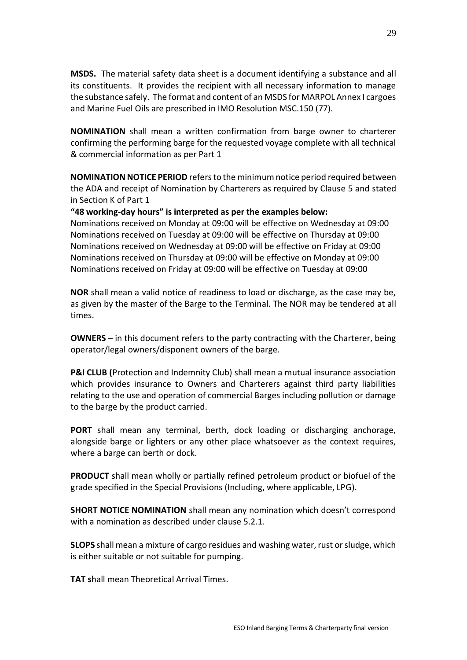**MSDS.** The material safety data sheet is a document identifying a substance and all its constituents. It provides the recipient with all necessary information to manage the substance safely. The format and content of an MSDS for MARPOL Annex I cargoes and Marine Fuel Oils are prescribed in IMO Resolution MSC.150 (77).

**NOMINATION** shall mean a written confirmation from barge owner to charterer confirming the performing barge for the requested voyage complete with all technical & commercial information as per Part 1

**NOMINATION NOTICE PERIOD** refers to the minimum notice period required between the ADA and receipt of Nomination by Charterers as required by Clause 5 and stated in Section K of Part 1

#### **"48 working-day hours" is interpreted as per the examples below:**

Nominations received on Monday at 09:00 will be effective on Wednesday at 09:00 Nominations received on Tuesday at 09:00 will be effective on Thursday at 09:00 Nominations received on Wednesday at 09:00 will be effective on Friday at 09:00 Nominations received on Thursday at 09:00 will be effective on Monday at 09:00 Nominations received on Friday at 09:00 will be effective on Tuesday at 09:00

**NOR** shall mean a valid notice of readiness to load or discharge, as the case may be, as given by the master of the Barge to the Terminal. The NOR may be tendered at all times.

**OWNERS** – in this document refers to the party contracting with the Charterer, being operator/legal owners/disponent owners of the barge.

**P&I CLUB (**Protection and Indemnity Club) shall mean a mutual insurance association which provides insurance to Owners and Charterers against third party liabilities relating to the use and operation of commercial Barges including pollution or damage to the barge by the product carried.

**PORT** shall mean any terminal, berth, dock loading or discharging anchorage, alongside barge or lighters or any other place whatsoever as the context requires, where a barge can berth or dock.

**PRODUCT** shall mean wholly or partially refined petroleum product or biofuel of the grade specified in the Special Provisions (Including, where applicable, LPG).

**SHORT NOTICE NOMINATION** shall mean any nomination which doesn't correspond with a nomination as described under clause 5.2.1.

**SLOPS** shall mean a mixture of cargo residues and washing water, rust or sludge, which is either suitable or not suitable for pumping.

**TAT s**hall mean Theoretical Arrival Times.